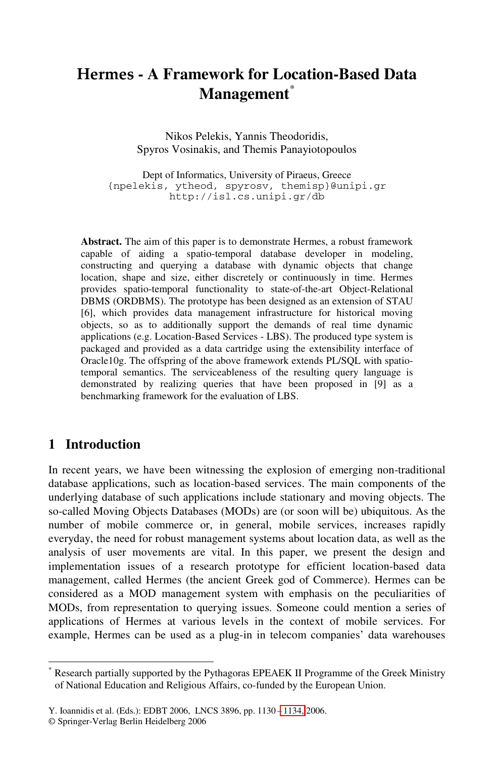# **Hermes - A Framework for Location-Based Data Management**\*

Nikos Pelekis, Yannis Theodoridis, Spyros Vosinakis, and Themis Panayiotopoulos

Dept of Informatics, University of Piraeus, Greece {npelekis, ytheod, spyrosv, themisp}@unipi.gr http://isl.cs.unipi.gr/db

**Abstract.** The aim of this paper is to demonstrate Hermes, a robust framework capable of aiding a spatio-temporal database developer in modeling, constructing and querying a database with dynamic objects that change location, shape and size, either discretely or continuously in time. Hermes provides spatio-temporal functionality to state-of-the-art Object-Relational DBMS (ORDBMS). The prototype has been designed as an extension of STAU [6], which provides data management infrastructure for historical moving objects, so as to additionally support the demands of real time dynamic applications (e.g. Location-Based Services - LBS). The produced type system is packaged and provided as a data cartridge using the extensibility interface of Oracle10g. The offspring of the above framework extends PL/SQL with spatiotemporal semantics. The serviceableness of the resulting query language is demonstrated by realizing queries that have been proposed in [9] as a benchmarking framework for the evaluation of LBS.

#### **1 Introduction**

-

In recent years, we have been witnessing the explosion of emerging non-traditional database applications, such as location-based services. The main components of the underlying database of such applications include stationary and moving objects. The so-called Moving Objects Databases (MODs) are (or soon will be) ubiquitous. As the number of mobile commerce or, in general, mobile services, increases rapidly everyday, the need for robust management systems about location data, as well as the analysis of user movements are vital. In this paper, we present the design and implementation issues of a research prototype for efficient location-based data management, called Hermes (the ancient Greek god of Commerce). Hermes can be considered as a MOD management system with emphasis on the peculiarities of MODs, from representation [to que](#page-4-0)rying issues. Someone could mention a series of applications of Hermes at various levels in the context of mobile services. For example, Hermes can be used as a plug-in in telecom companies' data warehouses

<sup>\*</sup> Research partially supported by the Pythagoras EPEAEK II Programme of the Greek Ministry of National Education and Religious Affairs, co-funded by the European Union.

Y. Ioannidis et al. (Eds.): EDBT 2006, LNCS 3896, pp. 1130 – 1134, 2006.

<sup>©</sup> Springer-Verlag Berlin Heidelberg 2006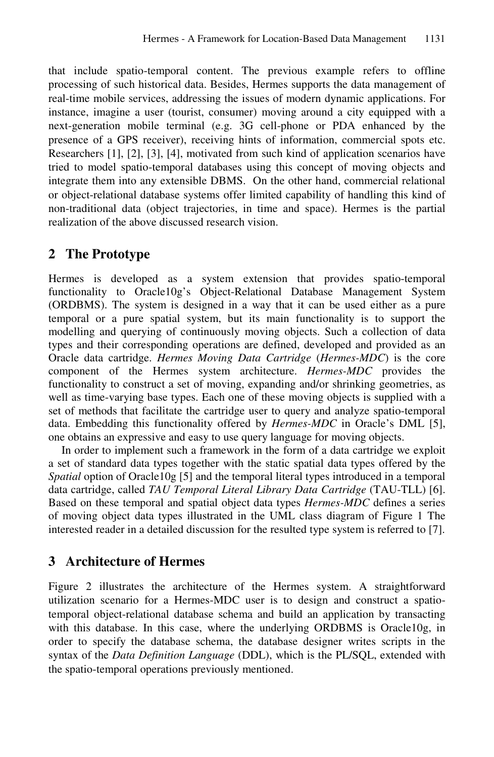that include spatio-temporal content. The previous example refers to offline processing of such historical data. Besides, Hermes supports the data management of real-time mobile services, addressing the issues of modern dynamic applications. For instance, imagine a user (tourist, consumer) moving around a city equipped with a next-generation mobile terminal (e.g. 3G cell-phone or PDA enhanced by the presence of a GPS receiver), receiving hints of information, commercial spots etc. Researchers [1], [2], [3], [4], motivated from such kind of application scenarios have tried to model spatio-temporal databases using this concept of moving objects and integrate them into any extensible DBMS. On the other hand, commercial relational or object-relational database systems offer limited capability of handling this kind of non-traditional data (object trajectories, in time and space). Hermes is the partial realization of the above discussed research vision.

### **2 The Prototype**

Hermes is developed as a system extension that provides spatio-temporal functionality to Oracle10g's Object-Relational Database Management System (ORDBMS). The system is designed in a way that it can be used either as a pure temporal or a pure spatial system, but its main functionality is to support the modelling and querying of continuously moving objects. Such a collection of data types and their corresponding operations are defined, developed and provided as an Oracle data cartridge. *Hermes Moving Data Cartridge* (*Hermes-MDC*) is the core component of the Hermes system architecture. *Hermes-MDC* provides the functionality to construct a set of moving, expanding and/or shrinking geometries, as well as time-varying base types. Each one of these moving objects is supplied with a set of methods that facilitate the cartridge user to query and analyze spatio-temporal data. Embedding this functionality offered by *Hermes-MDC* in Oracle's DML [5], one obtains an expressive and easy to use query language for moving objects.

In order to implement such a framework in the form of a data cartridge we exploit a set of standard data types together with the static spatial data types offered by the *Spatial* option of Oracle10g [5] and the temporal literal types introduced in a temporal data cartridge, called *TAU Temporal Literal Library Data Cartridge* (TAU-TLL) [6]. Based on these temporal and spatial object data types *Hermes-MDC* defines a series of moving object data types illustrated in the UML class diagram of Figure 1 The interested reader in a detailed discussion for the resulted type system is referred to [7].

#### **3 Architecture of Hermes**

Figure 2 illustrates the architecture of the Hermes system. A straightforward utilization scenario for a Hermes-MDC user is to design and construct a spatiotemporal object-relational database schema and build an application by transacting with this database. In this case, where the underlying ORDBMS is Oracle10g, in order to specify the database schema, the database designer writes scripts in the syntax of the *Data Definition Language* (DDL), which is the PL/SQL, extended with the spatio-temporal operations previously mentioned.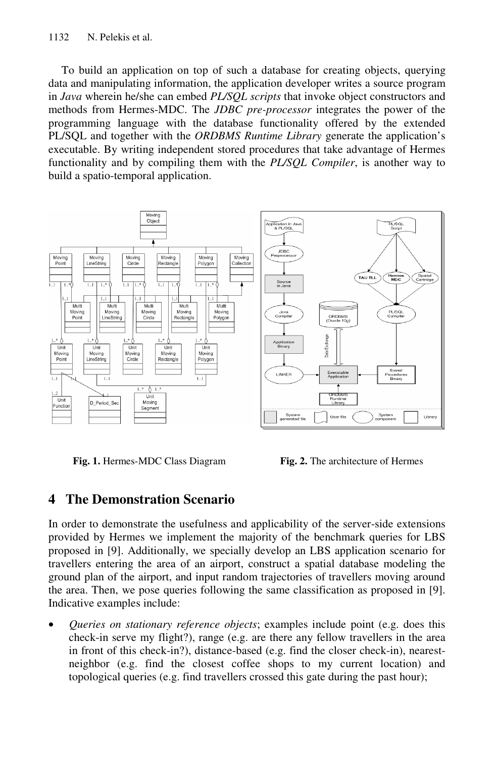To build an application on top of such a database for creating objects, querying data and manipulating information, the application developer writes a source program in *Java* wherein he/she can embed *PL/SQL scripts* that invoke object constructors and methods from Hermes-MDC. The *JDBC pre-processor* integrates the power of the programming language with the database functionality offered by the extended PL/SQL and together with the *ORDBMS Runtime Library* generate the application's executable. By writing independent stored procedures that take advantage of Hermes functionality and by compiling them with the *PL/SQL Compiler*, is another way to build a spatio-temporal application.



**Fig. 1.** Hermes-MDC Class Diagram **Fig. 2.** The architecture of Hermes

## **4 The Demonstration Scenario**

In order to demonstrate the usefulness and applicability of the server-side extensions provided by Hermes we implement the majority of the benchmark queries for LBS proposed in [9]. Additionally, we specially develop an LBS application scenario for travellers entering the area of an airport, construct a spatial database modeling the ground plan of the airport, and input random trajectories of travellers moving around the area. Then, we pose queries following the same classification as proposed in [9]. Indicative examples include:

• *Queries on stationary reference objects*; examples include point (e.g. does this check-in serve my flight?), range (e.g. are there any fellow travellers in the area in front of this check-in?), distance-based (e.g. find the closer check-in), nearestneighbor (e.g. find the closest coffee shops to my current location) and topological queries (e.g. find travellers crossed this gate during the past hour);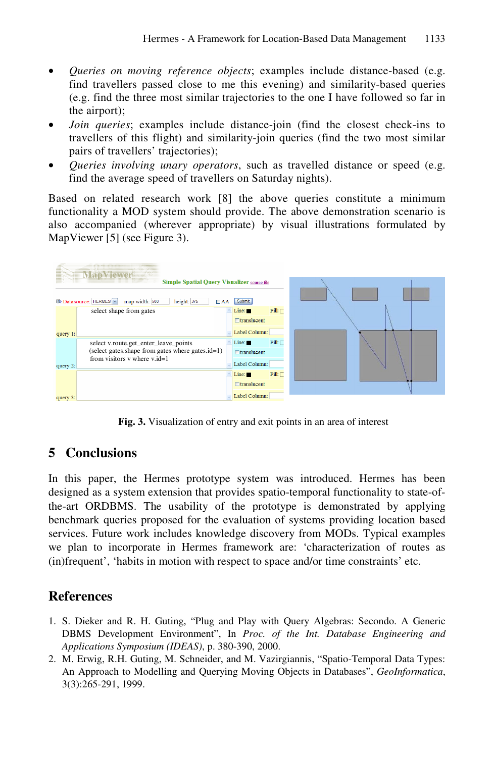- *Queries on moving reference objects*; examples include distance-based (e.g. find travellers passed close to me this evening) and similarity-based queries (e.g. find the three most similar trajectories to the one I have followed so far in the airport);
- *Join queries*; examples include distance-join (find the closest check-ins to travellers of this flight) and similarity-join queries (find the two most similar pairs of travellers' trajectories);
- *Queries involving unary operators*, such as travelled distance or speed (e.g. find the average speed of travellers on Saturday nights).

Based on related research work [8] the above queries constitute a minimum functionality a MOD system should provide. The above demonstration scenario is also accompanied (wherever appropriate) by visual illustrations formulated by MapViewer [5] (see Figure 3).



**Fig. 3.** Visualization of entry and exit points in an area of interest

## **5 Conclusions**

In this paper, the Hermes prototype system was introduced. Hermes has been designed as a system extension that provides spatio-temporal functionality to state-ofthe-art ORDBMS. The usability of the prototype is demonstrated by applying benchmark queries proposed for the evaluation of systems providing location based services. Future work includes knowledge discovery from MODs. Typical examples we plan to incorporate in Hermes framework are: 'characterization of routes as (in)frequent', 'habits in motion with respect to space and/or time constraints' etc.

## **References**

- 1. S. Dieker and R. H. Guting, "Plug and Play with Query Algebras: Secondo. A Generic DBMS Development Environment", In *Proc. of the Int. Database Engineering and Applications Symposium (IDEAS)*, p. 380-390, 2000.
- 2. M. Erwig, R.H. Guting, M. Schneider, and M. Vazirgiannis, "Spatio-Temporal Data Types: An Approach to Modelling and Querying Moving Objects in Databases", *GeoInformatica*, 3(3):265-291, 1999.